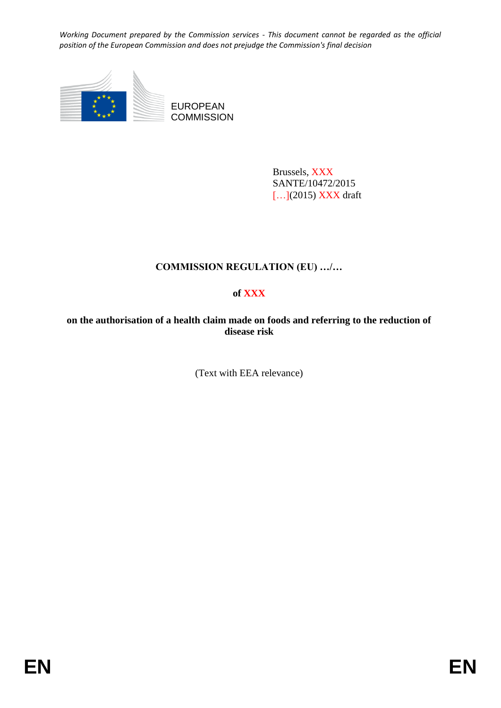

EUROPEAN **COMMISSION** 

> Brussels, XXX SANTE/10472/2015 [...](2015) XXX draft

# **COMMISSION REGULATION (EU) …/…**

# **of XXX**

**on the authorisation of a health claim made on foods and referring to the reduction of disease risk**

(Text with EEA relevance)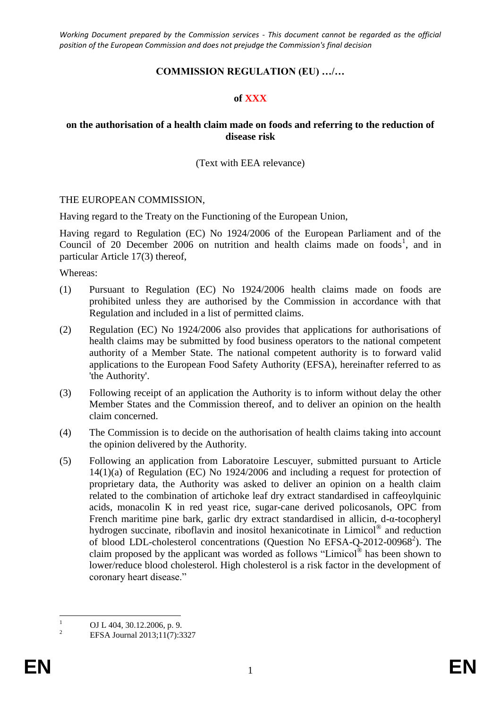## **COMMISSION REGULATION (EU) …/…**

#### **of XXX**

### **on the authorisation of a health claim made on foods and referring to the reduction of disease risk**

#### (Text with EEA relevance)

#### THE EUROPEAN COMMISSION,

Having regard to the Treaty on the Functioning of the European Union,

Having regard to Regulation (EC) No 1924/2006 of the European Parliament and of the Council of 20 December 2006 on nutrition and health claims made on foods<sup>1</sup>, and in particular Article 17(3) thereof,

Whereas:

- (1) Pursuant to Regulation (EC) No 1924/2006 health claims made on foods are prohibited unless they are authorised by the Commission in accordance with that Regulation and included in a list of permitted claims.
- (2) Regulation (EC) No 1924/2006 also provides that applications for authorisations of health claims may be submitted by food business operators to the national competent authority of a Member State. The national competent authority is to forward valid applications to the European Food Safety Authority (EFSA), hereinafter referred to as 'the Authority'.
- (3) Following receipt of an application the Authority is to inform without delay the other Member States and the Commission thereof, and to deliver an opinion on the health claim concerned.
- (4) The Commission is to decide on the authorisation of health claims taking into account the opinion delivered by the Authority.
- (5) Following an application from Laboratoire Lescuyer, submitted pursuant to Article 14(1)(a) of Regulation (EC) No 1924/2006 and including a request for protection of proprietary data, the Authority was asked to deliver an opinion on a health claim related to the combination of artichoke leaf dry extract standardised in caffeoylquinic acids, monacolin K in red yeast rice, sugar-cane derived policosanols, OPC from French maritime pine bark, garlic dry extract standardised in allicin, d-α-tocopheryl hydrogen succinate, riboflavin and inositol hexanicotinate in Limicol® and reduction of blood LDL-cholesterol concentrations (Question No EFSA-Q-2012-00968<sup>2</sup>). The claim proposed by the applicant was worded as follows "Limicol<sup>®</sup> has been shown to lower/reduce blood cholesterol. High cholesterol is a risk factor in the development of coronary heart disease."

 $\mathbf{1}$  $\frac{1}{2}$  OJ L 404, 30.12.2006, p. 9.

<sup>2</sup> EFSA Journal 2013;11(7):3327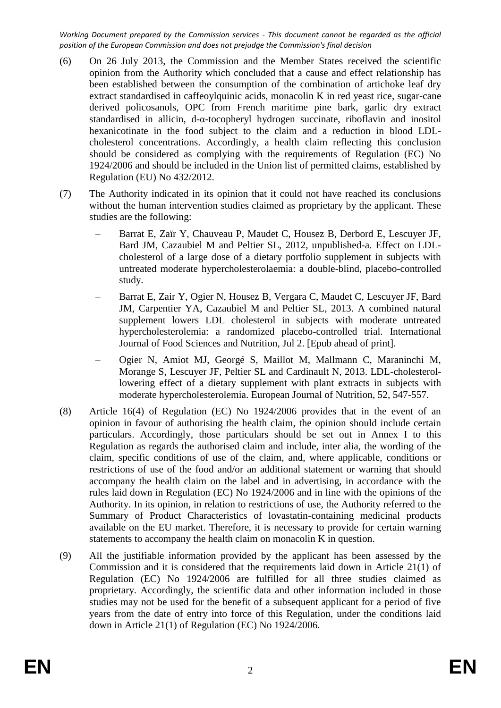- (6) On 26 July 2013, the Commission and the Member States received the scientific opinion from the Authority which concluded that a cause and effect relationship has been established between the consumption of the combination of artichoke leaf dry extract standardised in caffeoylquinic acids, monacolin K in red yeast rice, sugar-cane derived policosanols, OPC from French maritime pine bark, garlic dry extract standardised in allicin, d-α-tocopheryl hydrogen succinate, riboflavin and inositol hexanicotinate in the food subject to the claim and a reduction in blood LDLcholesterol concentrations. Accordingly, a health claim reflecting this conclusion should be considered as complying with the requirements of Regulation (EC) No 1924/2006 and should be included in the Union list of permitted claims, established by Regulation (EU) No 432/2012.
- (7) The Authority indicated in its opinion that it could not have reached its conclusions without the human intervention studies claimed as proprietary by the applicant. These studies are the following:
	- Barrat E, Zaïr Y, Chauveau P, Maudet C, Housez B, Derbord E, Lescuyer JF, Bard JM, Cazaubiel M and Peltier SL, 2012, unpublished-a. Effect on LDLcholesterol of a large dose of a dietary portfolio supplement in subjects with untreated moderate hypercholesterolaemia: a double-blind, placebo-controlled study.
	- Barrat E, Zair Y, Ogier N, Housez B, Vergara C, Maudet C, Lescuyer JF, Bard JM, Carpentier YA, Cazaubiel M and Peltier SL, 2013. A combined natural supplement lowers LDL cholesterol in subjects with moderate untreated hypercholesterolemia: a randomized placebo-controlled trial. International Journal of Food Sciences and Nutrition, Jul 2. [Epub ahead of print].
	- Ogier N, Amiot MJ, Georgé S, Maillot M, Mallmann C, Maraninchi M, Morange S, Lescuyer JF, Peltier SL and Cardinault N, 2013. LDL-cholesterollowering effect of a dietary supplement with plant extracts in subjects with moderate hypercholesterolemia. European Journal of Nutrition, 52, 547-557.
- (8) Article 16(4) of Regulation (EC) No 1924/2006 provides that in the event of an opinion in favour of authorising the health claim, the opinion should include certain particulars. Accordingly, those particulars should be set out in Annex I to this Regulation as regards the authorised claim and include, inter alia, the wording of the claim, specific conditions of use of the claim, and, where applicable, conditions or restrictions of use of the food and/or an additional statement or warning that should accompany the health claim on the label and in advertising, in accordance with the rules laid down in Regulation (EC) No 1924/2006 and in line with the opinions of the Authority. In its opinion, in relation to restrictions of use, the Authority referred to the Summary of Product Characteristics of lovastatin-containing medicinal products available on the EU market. Therefore, it is necessary to provide for certain warning statements to accompany the health claim on monacolin K in question.
- (9) All the justifiable information provided by the applicant has been assessed by the Commission and it is considered that the requirements laid down in Article 21(1) of Regulation (EC) No 1924/2006 are fulfilled for all three studies claimed as proprietary. Accordingly, the scientific data and other information included in those studies may not be used for the benefit of a subsequent applicant for a period of five years from the date of entry into force of this Regulation, under the conditions laid down in Article 21(1) of Regulation (EC) No 1924/2006.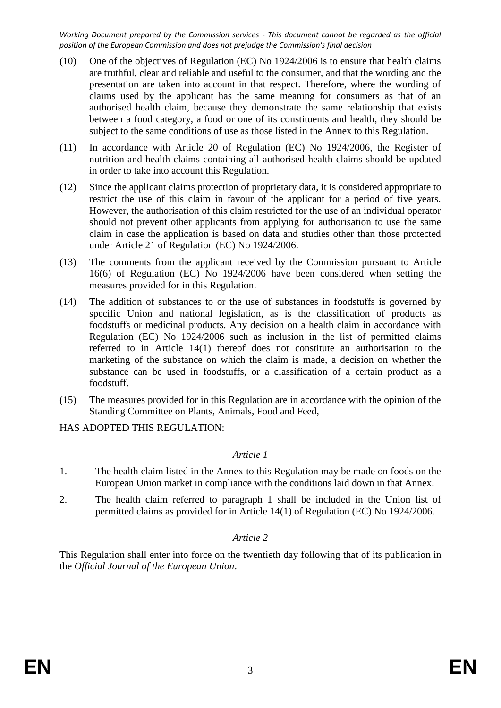- (10) One of the objectives of Regulation (EC) No 1924/2006 is to ensure that health claims are truthful, clear and reliable and useful to the consumer, and that the wording and the presentation are taken into account in that respect. Therefore, where the wording of claims used by the applicant has the same meaning for consumers as that of an authorised health claim, because they demonstrate the same relationship that exists between a food category, a food or one of its constituents and health, they should be subject to the same conditions of use as those listed in the Annex to this Regulation.
- (11) In accordance with Article 20 of Regulation (EC) No 1924/2006, the Register of nutrition and health claims containing all authorised health claims should be updated in order to take into account this Regulation.
- (12) Since the applicant claims protection of proprietary data, it is considered appropriate to restrict the use of this claim in favour of the applicant for a period of five years. However, the authorisation of this claim restricted for the use of an individual operator should not prevent other applicants from applying for authorisation to use the same claim in case the application is based on data and studies other than those protected under Article 21 of Regulation (EC) No 1924/2006.
- (13) The comments from the applicant received by the Commission pursuant to Article 16(6) of Regulation (EC) No 1924/2006 have been considered when setting the measures provided for in this Regulation.
- (14) The addition of substances to or the use of substances in foodstuffs is governed by specific Union and national legislation, as is the classification of products as foodstuffs or medicinal products. Any decision on a health claim in accordance with Regulation (EC) No 1924/2006 such as inclusion in the list of permitted claims referred to in Article 14(1) thereof does not constitute an authorisation to the marketing of the substance on which the claim is made, a decision on whether the substance can be used in foodstuffs, or a classification of a certain product as a foodstuff.
- (15) The measures provided for in this Regulation are in accordance with the opinion of the Standing Committee on Plants, Animals, Food and Feed,

HAS ADOPTED THIS REGULATION:

### *Article 1*

- 1. The health claim listed in the Annex to this Regulation may be made on foods on the European Union market in compliance with the conditions laid down in that Annex.
- 2. The health claim referred to paragraph 1 shall be included in the Union list of permitted claims as provided for in Article 14(1) of Regulation (EC) No 1924/2006.

### *Article 2*

This Regulation shall enter into force on the twentieth day following that of its publication in the *Official Journal of the European Union*.